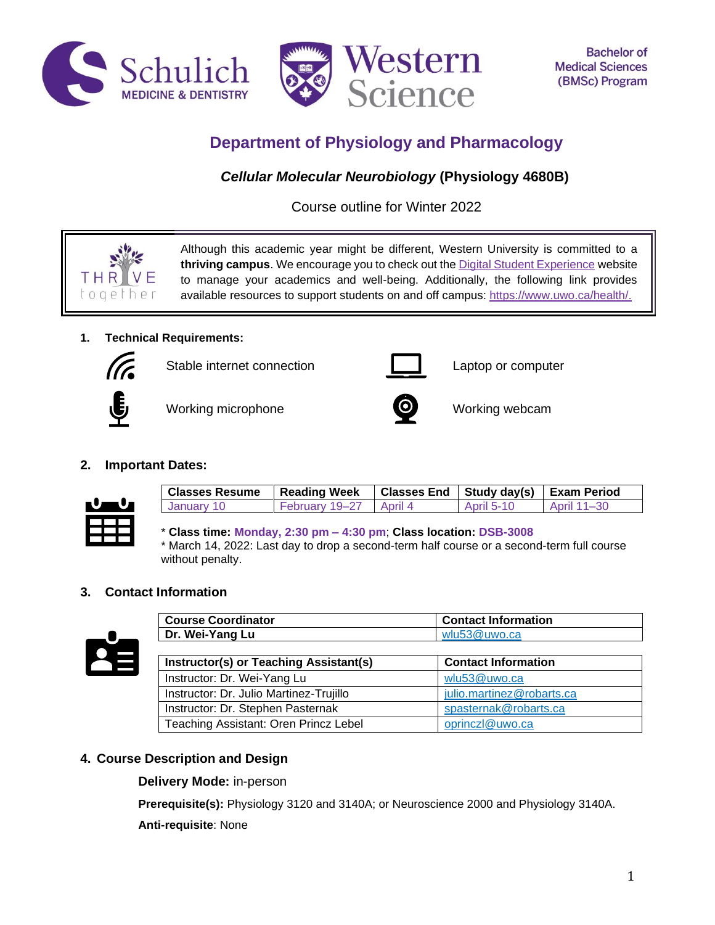



# **Department of Physiology and Pharmacology**

# *Cellular Molecular Neurobiology* **(Physiology 4680B)**

Course outline for Winter 2022



Although this academic year might be different, Western University is committed to a **thriving campus**. We encourage you to check out the [Digital Student Experience](https://www.uwo.ca/se/digital/) website to manage your academics and well-being. Additionally, the following link provides available resources to support students on and off campus: [https://www.uwo.ca/health/.](https://www.uwo.ca/health/)

# **1. Technical Requirements:**



Stable internet connection **Laptop** computer



Working microphone **Working webcam** 



# **2. Important Dates:**



| <b>Classes Resume</b> | Reading Week           | Classes End   Study day(s)   Exam Period |                   |             |
|-----------------------|------------------------|------------------------------------------|-------------------|-------------|
| January 10            | February 19–27 April 4 |                                          | <b>April 5-10</b> | April 11–30 |

\* **Class time: Monday, 2:30 pm – 4:30 pm**; **Class location: DSB-3008** \* March 14, 2022: Last day to drop a second-term half course or a second-term full course without penalty.

**Course Coordinator Contact Information**

## **3. Contact Information**



| Dr. Wei-Yang Lu                         | wlu53@uwo.ca               |
|-----------------------------------------|----------------------------|
|                                         |                            |
| Instructor(s) or Teaching Assistant(s)  | <b>Contact Information</b> |
| Instructor: Dr. Wei-Yang Lu             | wlu53@uwo.ca               |
| Instructor: Dr. Julio Martinez-Trujillo | julio.martinez@robarts.ca  |
| Instructor: Dr. Stephen Pasternak       | spasternak@robarts.ca      |
| Teaching Assistant: Oren Princz Lebel   | oprinczl@uwo.ca            |

# **4. Course Description and Design**

**Delivery Mode:** in-person

**Prerequisite(s):** Physiology 3120 and 3140A; or Neuroscience 2000 and Physiology 3140A.

**Anti-requisite**: None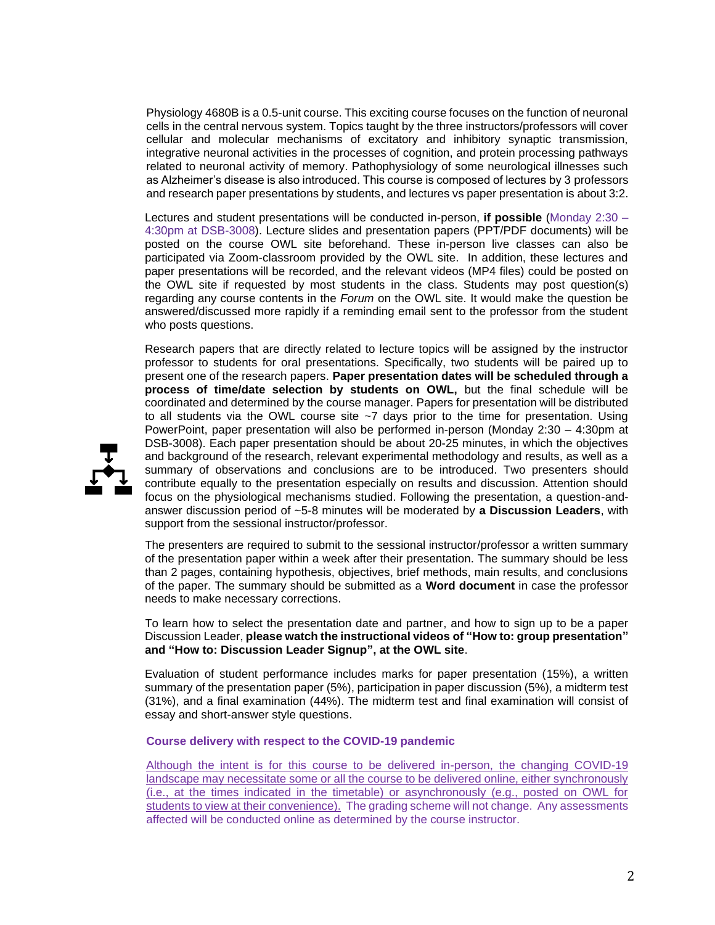Physiology 4680B is a 0.5-unit course. This exciting course focuses on the function of neuronal cells in the central nervous system. Topics taught by the three instructors/professors will cover cellular and molecular mechanisms of excitatory and inhibitory synaptic transmission, integrative neuronal activities in the processes of cognition, and protein processing pathways related to neuronal activity of memory. Pathophysiology of some neurological illnesses such as Alzheimer's disease is also introduced. This course is composed of lectures by 3 professors and research paper presentations by students, and lectures vs paper presentation is about 3:2.

Lectures and student presentations will be conducted in-person, **if possible** (Monday 2:30 – 4:30pm at DSB-3008). Lecture slides and presentation papers (PPT/PDF documents) will be posted on the course OWL site beforehand. These in-person live classes can also be participated via Zoom-classroom provided by the OWL site. In addition, these lectures and paper presentations will be recorded, and the relevant videos (MP4 files) could be posted on the OWL site if requested by most students in the class. Students may post question(s) regarding any course contents in the *Forum* on the OWL site. It would make the question be answered/discussed more rapidly if a reminding email sent to the professor from the student who posts questions.

Research papers that are directly related to lecture topics will be assigned by the instructor professor to students for oral presentations. Specifically, two students will be paired up to present one of the research papers. **Paper presentation dates will be scheduled through a process of time/date selection by students on OWL,** but the final schedule will be coordinated and determined by the course manager. Papers for presentation will be distributed to all students via the OWL course site  $-7$  days prior to the time for presentation. Using PowerPoint, paper presentation will also be performed in-person (Monday 2:30 – 4:30pm at DSB-3008). Each paper presentation should be about 20-25 minutes, in which the objectives and background of the research, relevant experimental methodology and results, as well as a summary of observations and conclusions are to be introduced. Two presenters should contribute equally to the presentation especially on results and discussion. Attention should focus on the physiological mechanisms studied. Following the presentation, a question-andanswer discussion period of ~5-8 minutes will be moderated by **a Discussion Leaders**, with support from the sessional instructor/professor.

The presenters are required to submit to the sessional instructor/professor a written summary of the presentation paper within a week after their presentation. The summary should be less than 2 pages, containing hypothesis, objectives, brief methods, main results, and conclusions of the paper. The summary should be submitted as a **Word document** in case the professor needs to make necessary corrections.

To learn how to select the presentation date and partner, and how to sign up to be a paper Discussion Leader, **please watch the instructional videos of "How to: group presentation" and "How to: Discussion Leader Signup", at the OWL site**.

Evaluation of student performance includes marks for paper presentation (15%), a written summary of the presentation paper (5%), participation in paper discussion (5%), a midterm test (31%), and a final examination (44%). The midterm test and final examination will consist of essay and short-answer style questions.

**Course delivery with respect to the COVID-19 pandemic** 

Although the intent is for this course to be delivered in-person, the changing COVID-19 landscape may necessitate some or all the course to be delivered online, either synchronously (i.e., at the times indicated in the timetable) or asynchronously (e.g., posted on OWL for students to view at their convenience). The grading scheme will not change. Any assessments affected will be conducted online as determined by the course instructor.

2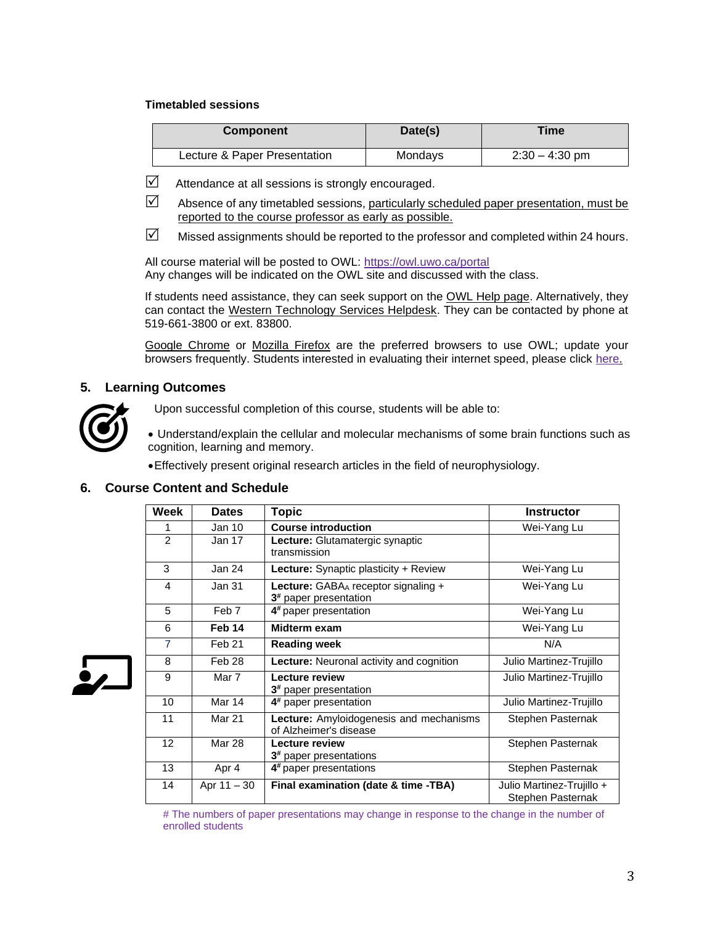#### **Timetabled sessions**

| <b>Component</b>             | Date(s) | Time             |
|------------------------------|---------|------------------|
| Lecture & Paper Presentation | Mondays | $2:30 - 4:30$ pm |

- $\boxtimes$  Attendance at all sessions is strongly encouraged.
- $\boxtimes$  Absence of any timetabled sessions, particularly scheduled paper presentation, must be reported to the course professor as early as possible.
- $\boxtimes$  Missed assignments should be reported to the professor and completed within 24 hours.

All course material will be posted to OWL:<https://owl.uwo.ca/portal> Any changes will be indicated on the OWL site and discussed with the class.

If students need assistance, they can seek support on the [OWL Help page.](https://owlhelp.uwo.ca/students/index.html) Alternatively, they can contact the [Western Technology Services Helpdesk.](https://wts.uwo.ca/helpdesk/) They can be contacted by phone at 519-661-3800 or ext. 83800.

[Google Chrome](https://www.google.ca/chrome/?brand=CHBD&gclid=CjwKCAjwxLH3BRApEiwAqX9arfg8JaH6fWGASk9bHTkfW_dyBir93A1-TliP-7u1Kguf-WZsoGAPhBoC9NYQAvD_BwE&gclsrc=aw.ds) or [Mozilla Firefox](https://www.mozilla.org/en-CA/) are the preferred browsers to use OWL; update your browsers frequently. Students interested in evaluating their internet speed, please click [here.](https://www.google.com/search?q=internet+speed+test+google&rlz=1C5CHFA_enCA702CA702&oq=internet+speed+test+google&aqs=chrome..69i57j0l7.3608j0j4&sourceid=chrome&ie=UTF-8)

## **5. Learning Outcomes**



Upon successful completion of this course, students will be able to:

• Understand/explain the cellular and molecular mechanisms of some brain functions such as cognition, learning and memory.

•Effectively present original research articles in the field of neurophysiology.

## **6. Course Content and Schedule**

| Week              | <b>Dates</b>      | Topic                                                                    | <b>Instructor</b>                              |
|-------------------|-------------------|--------------------------------------------------------------------------|------------------------------------------------|
|                   | Jan 10            | <b>Course introduction</b>                                               | Wei-Yang Lu                                    |
| 2                 | Jan 17            | Lecture: Glutamatergic synaptic<br>transmission                          |                                                |
| 3                 | Jan 24            | <b>Lecture:</b> Synaptic plasticity + Review                             | Wei-Yang Lu                                    |
| 4                 | Jan 31            | Lecture: GABAA receptor signaling +<br>3 <sup>#</sup> paper presentation | Wei-Yang Lu                                    |
| 5                 | Feb 7             | 4 <sup>#</sup> paper presentation                                        | Wei-Yang Lu                                    |
| 6                 | Feb 14            | Midterm exam                                                             | Wei-Yang Lu                                    |
| $\overline{7}$    | Feb <sub>21</sub> | <b>Reading week</b>                                                      | N/A                                            |
| 8                 | Feb 28            | <b>Lecture:</b> Neuronal activity and cognition                          | Julio Martinez-Trujillo                        |
| 9                 | Mar 7             | Lecture review<br>3 <sup>#</sup> paper presentation                      | Julio Martinez-Trujillo                        |
| 10                | Mar 14            | 4 <sup>#</sup> paper presentation                                        | Julio Martinez-Trujillo                        |
| 11                | <b>Mar 21</b>     | Lecture: Amyloidogenesis and mechanisms<br>of Alzheimer's disease        | Stephen Pasternak                              |
| $12 \overline{ }$ | <b>Mar 28</b>     | Lecture review<br>3 <sup>#</sup> paper presentations                     | Stephen Pasternak                              |
| 13                | Apr 4             | 4 <sup>#</sup> paper presentations                                       | Stephen Pasternak                              |
| 14                | Apr $11 - 30$     | Final examination (date & time -TBA)                                     | Julio Martinez-Trujillo +<br>Stephen Pasternak |



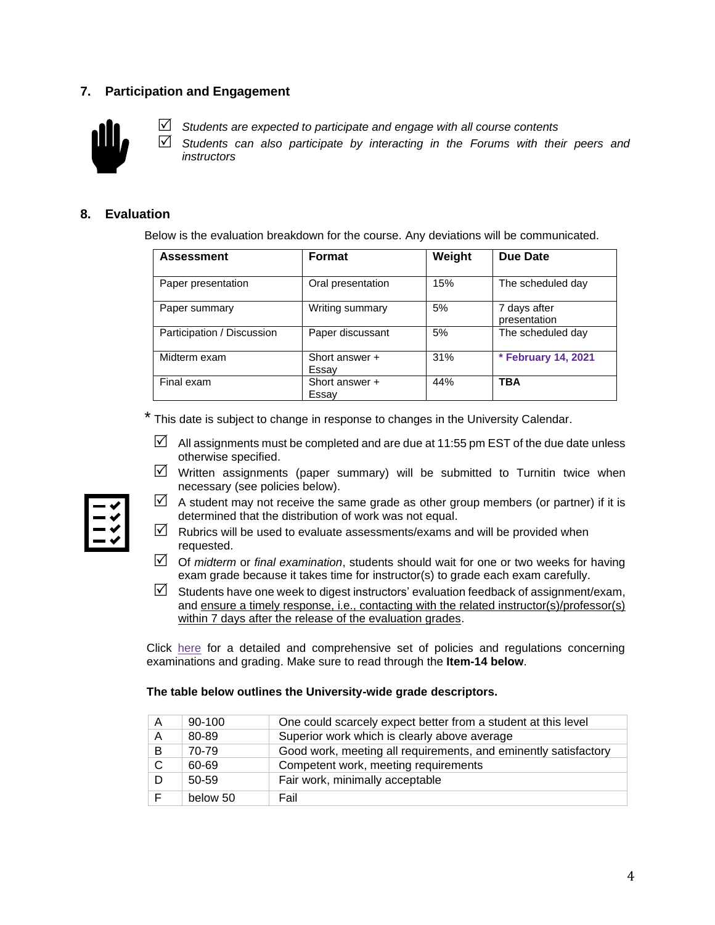## **7. Participation and Engagement**



*Students are expected to participate and engage with all course contents*

 *Students can also participate by interacting in the Forums with their peers and instructors*

## **8. Evaluation**

Below is the evaluation breakdown for the course. Any deviations will be communicated.

| <b>Assessment</b>          | <b>Format</b>           | Weight | Due Date                     |
|----------------------------|-------------------------|--------|------------------------------|
| Paper presentation         | Oral presentation       | 15%    | The scheduled day            |
| Paper summary              | Writing summary         | 5%     | 7 days after<br>presentation |
| Participation / Discussion | Paper discussant        | 5%     | The scheduled day            |
| Midterm exam               | Short answer +<br>Essay | 31%    | * February 14, 2021          |
| Final exam                 | Short answer +<br>Essay | 44%    | <b>TBA</b>                   |

\* This date is subject to change in response to changes in the University Calendar.

- $\boxtimes$  All assignments must be completed and are due at 11:55 pm EST of the due date unless otherwise specified.
- $\boxtimes$  Written assignments (paper summary) will be submitted to Turnitin twice when necessary (see policies below).



- $\boxtimes$  A student may not receive the same grade as other group members (or partner) if it is determined that the distribution of work was not equal.
- $\boxtimes$  Rubrics will be used to evaluate assessments/exams and will be provided when requested.
- Of *midterm* or *final examination*, students should wait for one or two weeks for having exam grade because it takes time for instructor(s) to grade each exam carefully.
- $\boxtimes$  Students have one week to digest instructors' evaluation feedback of assignment/exam, and ensure a timely response, i.e., contacting with the related instructor(s)/professor(s) within 7 days after the release of the evaluation grades.

Click [here](https://www.westerncalendar.uwo.ca/PolicyPages.cfm?Command=showCategory&PolicyCategoryID=5&SelectedCalendar=Live&ArchiveID=#SubHeading_73) for a detailed and comprehensive set of policies and regulations concerning examinations and grading. Make sure to read through the **Item-14 below**.

#### **The table below outlines the University-wide grade descriptors.**

| A | $90 - 100$ | One could scarcely expect better from a student at this level   |
|---|------------|-----------------------------------------------------------------|
| A | 80-89      | Superior work which is clearly above average                    |
| B | 70-79      | Good work, meeting all requirements, and eminently satisfactory |
| C | 60-69      | Competent work, meeting requirements                            |
|   | 50-59      | Fair work, minimally acceptable                                 |
|   | below 50   | Fail                                                            |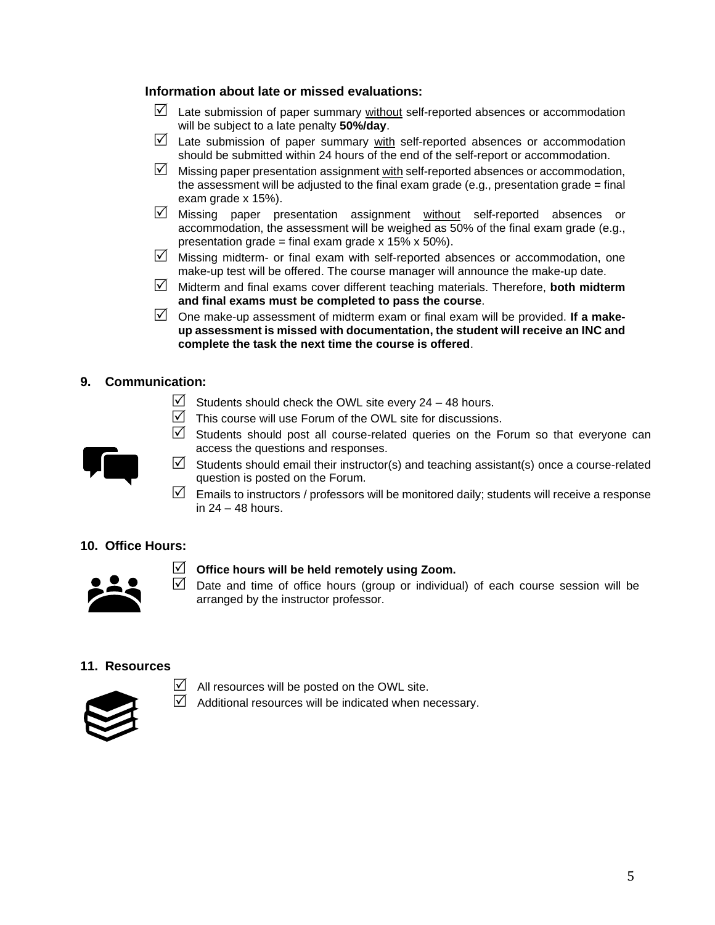## **Information about late or missed evaluations:**

- $\Box$  Late submission of paper summary without self-reported absences or accommodation will be subject to a late penalty **50%/day**.
- $\boxtimes$  Late submission of paper summary with self-reported absences or accommodation should be submitted within 24 hours of the end of the self-report or accommodation.
- $\boxtimes$  Missing paper presentation assignment with self-reported absences or accommodation, the assessment will be adjusted to the final exam grade (e.g., presentation grade  $=$  final exam grade x 15%).
- $\boxtimes$  Missing paper presentation assignment without self-reported absences or accommodation, the assessment will be weighed as 50% of the final exam grade (e.g., presentation grade = final exam grade  $x$  15%  $x$  50%).
- $\triangledown$  Missing midterm- or final exam with self-reported absences or accommodation, one make-up test will be offered. The course manager will announce the make-up date.
- Midterm and final exams cover different teaching materials. Therefore, **both midterm and final exams must be completed to pass the course**.
- One make-up assessment of midterm exam or final exam will be provided. **If a makeup assessment is missed with documentation, the student will receive an INC and complete the task the next time the course is offered**.

# **9. Communication:**

- $\triangledown$  Students should check the OWL site every 24 48 hours.
- $\triangledown$  This course will use Forum of the OWL site for discussions.
- $\boxtimes$  Students should post all course-related queries on the Forum so that everyone can access the questions and responses.
- $\triangledown$  Students should email their instructor(s) and teaching assistant(s) once a course-related question is posted on the Forum.
- $\triangledown$  Emails to instructors / professors will be monitored daily; students will receive a response in 24 – 48 hours.

## **10. Office Hours:**



## **Office hours will be held remotely using Zoom.**

 $\triangledown$  Date and time of office hours (group or individual) of each course session will be arranged by the instructor professor.

## **11. Resources**



- $\Box$  All resources will be posted on the OWL site.
- $\boxtimes$  Additional resources will be indicated when necessary.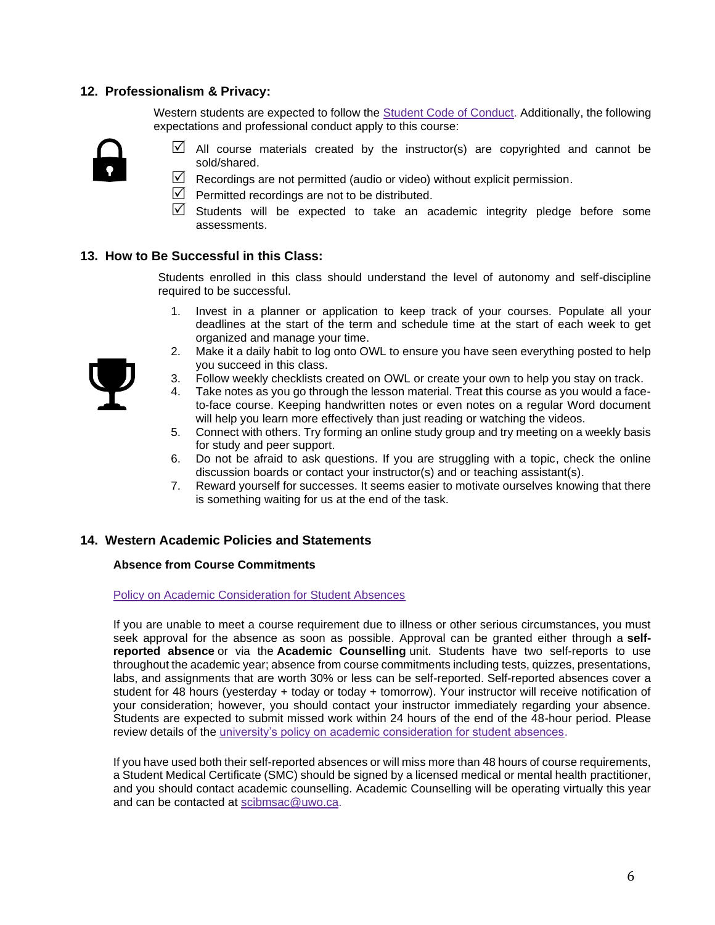## **12. Professionalism & Privacy:**

Western students are expected to follow the **Student Code of Conduct. Additionally**, the following expectations and professional conduct apply to this course:



- $\boxtimes$  All course materials created by the instructor(s) are copyrighted and cannot be sold/shared.
- $\triangledown$  Recordings are not permitted (audio or video) without explicit permission.
- $\triangledown$  Permitted recordings are not to be distributed.
- $\boxtimes$  Students will be expected to take an academic integrity pledge before some assessments.

## **13. How to Be Successful in this Class:**

Students enrolled in this class should understand the level of autonomy and self-discipline required to be successful.

- 1. Invest in a planner or application to keep track of your courses. Populate all your deadlines at the start of the term and schedule time at the start of each week to get organized and manage your time.
- 2. Make it a daily habit to log onto OWL to ensure you have seen everything posted to help you succeed in this class.
- 3. Follow weekly checklists created on OWL or create your own to help you stay on track.
- Take notes as you go through the lesson material. Treat this course as you would a faceto-face course. Keeping handwritten notes or even notes on a regular Word document will help you learn more effectively than just reading or watching the videos.
- 5. Connect with others. Try forming an online study group and try meeting on a weekly basis for study and peer support.
- 6. Do not be afraid to ask questions. If you are struggling with a topic, check the online discussion boards or contact your instructor(s) and or teaching assistant(s).
- 7. Reward yourself for successes. It seems easier to motivate ourselves knowing that there is something waiting for us at the end of the task.

#### **14. Western Academic Policies and Statements**

#### **Absence from Course Commitments**

#### [Policy on Academic Consideration for Student Absences](https://www.uwo.ca/univsec/pdf/academic_policies/appeals/accommodation_illness.pdf)

If you are unable to meet a course requirement due to illness or other serious circumstances, you must seek approval for the absence as soon as possible. Approval can be granted either through a **selfreported absence** or via the **Academic Counselling** unit. Students have two self-reports to use throughout the academic year; absence from course commitments including tests, quizzes, presentations, labs, and assignments that are worth 30% or less can be self-reported. Self-reported absences cover a student for 48 hours (yesterday + today or today + tomorrow). Your instructor will receive notification of your consideration; however, you should contact your instructor immediately regarding your absence. Students are expected to submit missed work within 24 hours of the end of the 48-hour period. Please review details of the [university's policy on academic consideration for student absences.](https://www.uwo.ca/univsec/pdf/academic_policies/appeals/Academic_Consideration_for_absences.pdf)

If you have used both their self-reported absences or will miss more than 48 hours of course requirements, a Student Medical Certificate (SMC) should be signed by a licensed medical or mental health practitioner, and you should contact academic counselling. Academic Counselling will be operating virtually this year and can be contacted at [scibmsac@uwo.ca.](mailto:scibmsac@uwo.ca)

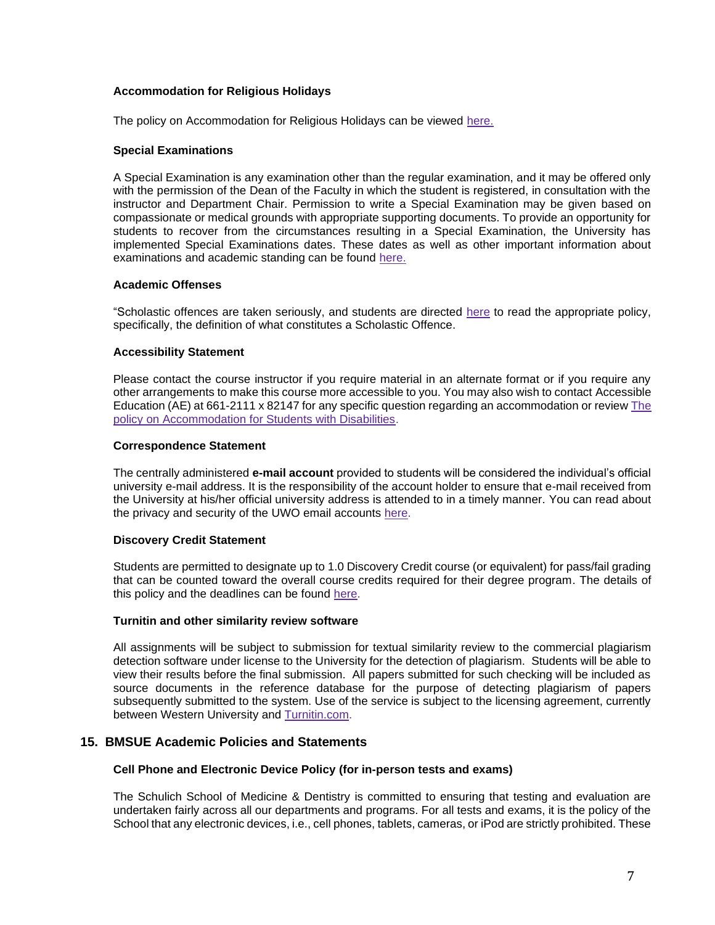#### **Accommodation for Religious Holidays**

The policy on Accommodation for Religious Holidays can be viewed [here.](https://www.uwo.ca/univsec/pdf/academic_policies/appeals/accommodation_religious.pdf)

#### **Special Examinations**

A Special Examination is any examination other than the regular examination, and it may be offered only with the permission of the Dean of the Faculty in which the student is registered, in consultation with the instructor and Department Chair. Permission to write a Special Examination may be given based on compassionate or medical grounds with appropriate supporting documents. To provide an opportunity for students to recover from the circumstances resulting in a Special Examination, the University has implemented Special Examinations dates. These dates as well as other important information about examinations and academic standing can be found [here.](http://www.uwo.ca/univsec/pdf/academic_policies/exam/definitions.pdf)

#### **Academic Offenses**

"Scholastic offences are taken seriously, and students are directed [here](http://www.uwo.ca/univsec/pdf/academic_policies/appeals/scholastic_discipline_undergrad.pdf) to read the appropriate policy, specifically, the definition of what constitutes a Scholastic Offence.

#### **Accessibility Statement**

Please contact the course instructor if you require material in an alternate format or if you require any other arrangements to make this course more accessible to you. You may also wish to contact Accessible Education (AE) at 661-2111 x 82147 for any specific question regarding an accommodation or revie[w The](https://www.uwo.ca/univsec/pdf/academic_policies/appeals/Academic%20Accommodation_disabilities.pdf)  [policy on Accommodation for Students with Disabilities.](https://www.uwo.ca/univsec/pdf/academic_policies/appeals/Academic%20Accommodation_disabilities.pdf)

#### **Correspondence Statement**

The centrally administered **e-mail account** provided to students will be considered the individual's official university e-mail address. It is the responsibility of the account holder to ensure that e-mail received from the University at his/her official university address is attended to in a timely manner. You can read about the privacy and security of the UWO email accounts [here.](https://www.uwo.ca/univsec/privacy/faq.html#ShouldIUse)

#### **Discovery Credit Statement**

Students are permitted to designate up to 1.0 Discovery Credit course (or equivalent) for pass/fail grading that can be counted toward the overall course credits required for their degree program. The details of this policy and the deadlines can be found [here.](https://www.uwo.ca/univsec/pdf/academic_policies/registration_progression_grad/coursecredit.pdf)

#### **Turnitin and other similarity review software**

All assignments will be subject to submission for textual similarity review to the commercial plagiarism detection software under license to the University for the detection of plagiarism. Students will be able to view their results before the final submission. All papers submitted for such checking will be included as source documents in the reference database for the purpose of detecting plagiarism of papers subsequently submitted to the system. Use of the service is subject to the licensing agreement, currently between Western University and [Turnitin.com.](http://www.turnitin.com/)

#### **15. BMSUE Academic Policies and Statements**

#### **Cell Phone and Electronic Device Policy (for in-person tests and exams)**

The Schulich School of Medicine & Dentistry is committed to ensuring that testing and evaluation are undertaken fairly across all our departments and programs. For all tests and exams, it is the policy of the School that any electronic devices, i.e., cell phones, tablets, cameras, or iPod are strictly prohibited. These